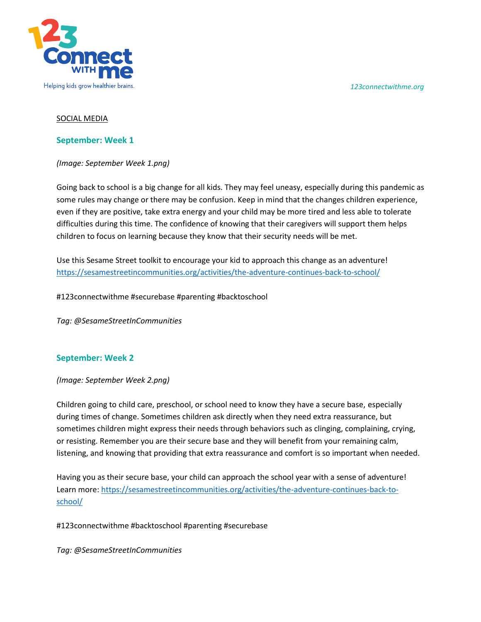*123connectwithme.org*



### SOCIAL MEDIA

### **September: Week 1**

*(Image: September Week 1.png)* 

Going back to school is a big change for all kids. They may feel uneasy, especially during this pandemic as some rules may change or there may be confusion. Keep in mind that the changes children experience, even if they are positive, take extra energy and your child may be more tired and less able to tolerate difficulties during this time. The confidence of knowing that their caregivers will support them helps children to focus on learning because they know that their security needs will be met.

Use this Sesame Street toolkit to encourage your kid to approach this change as an adventure! <https://sesamestreetincommunities.org/activities/the-adventure-continues-back-to-school/>

#123connectwithme #securebase #parenting #backtoschool

*Tag: @SesameStreetInCommunities*

### **September: Week 2**

*(Image: September Week 2.png)* 

Children going to child care, preschool, or school need to know they have a secure base, especially during times of change. Sometimes children ask directly when they need extra reassurance, but sometimes children might express their needs through behaviors such as clinging, complaining, crying, or resisting. Remember you are their secure base and they will benefit from your remaining calm, listening, and knowing that providing that extra reassurance and comfort is so important when needed.

Having you as their secure base, your child can approach the school year with a sense of adventure! Learn more: [https://sesamestreetincommunities.org/activities/the-adventure-continues-back-to](https://sesamestreetincommunities.org/activities/the-adventure-continues-back-to-school/)[school/](https://sesamestreetincommunities.org/activities/the-adventure-continues-back-to-school/)

#123connectwithme #backtoschool #parenting #securebase

*Tag: @SesameStreetInCommunities*